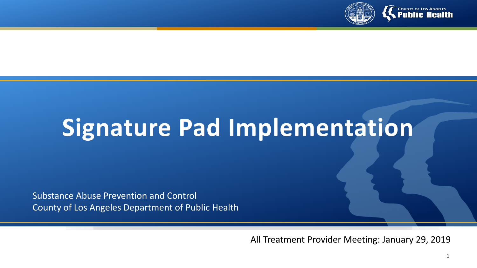

# **Signature Pad Implementation**

Substance Abuse Prevention and Control County of Los Angeles Department of Public Health

All Treatment Provider Meeting: January 29, 2019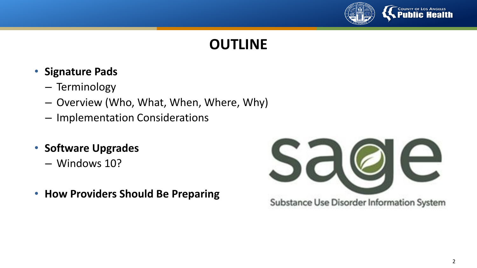

## **OUTLINE**

- **Signature Pads**
	- Terminology
	- Overview (Who, What, When, Where, Why)
	- Implementation Considerations
- **Software Upgrades**
	- Windows 10?
- **How Providers Should Be Preparing**

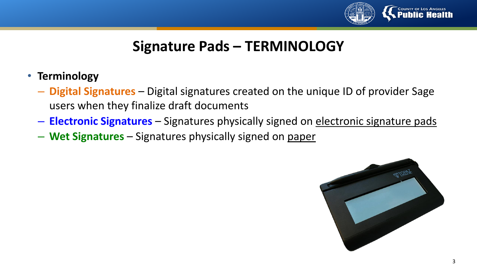

## **Signature Pads – TERMINOLOGY**

- **Terminology**
	- **Digital Signatures** Digital signatures created on the unique ID of provider Sage users when they finalize draft documents
	- **Electronic Signatures** Signatures physically signed on electronic signature pads
	- **Wet Signatures**  Signatures physically signed on paper

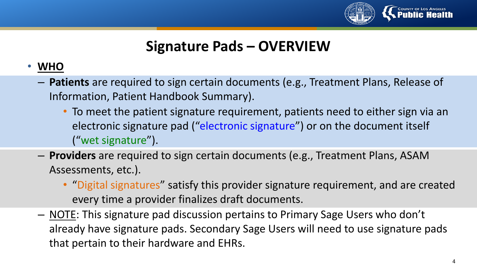

## **Signature Pads – OVERVIEW**

#### • **WHO**

- **Patients** are required to sign certain documents (e.g., Treatment Plans, Release of Information, Patient Handbook Summary).
	- To meet the patient signature requirement, patients need to either sign via an electronic signature pad ("electronic signature") or on the document itself ("wet signature").
- **Providers** are required to sign certain documents (e.g., Treatment Plans, ASAM Assessments, etc.).
	- "Digital signatures" satisfy this provider signature requirement, and are created every time a provider finalizes draft documents.
- NOTE: This signature pad discussion pertains to Primary Sage Users who don't already have signature pads. Secondary Sage Users will need to use signature pads that pertain to their hardware and EHRs.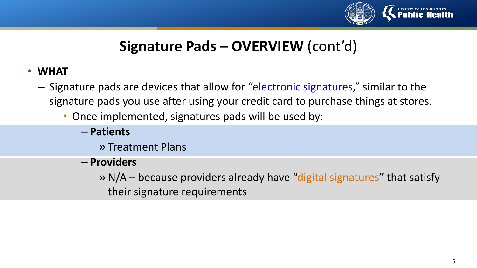

# **Signature Pads – OVERVIEW** (cont'd)

#### • **WHAT**

- Signature pads are devices that allow for "electronic signatures," similar to the signature pads you use after using your credit card to purchase things at stores.
	- Once implemented, signatures pads will be used by:
		- **Patients**
			- » Treatment Plans
		- **Providers**
			- » N/A because providers already have "digital signatures" that satisfy their signature requirements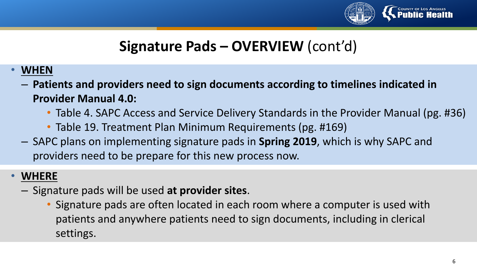

# **Signature Pads – OVERVIEW** (cont'd)

- **WHEN**
	- **Patients and providers need to sign documents according to timelines indicated in Provider Manual 4.0:**
		- Table 4. SAPC Access and Service Delivery Standards in the Provider Manual (pg. #36)
		- Table 19. Treatment Plan Minimum Requirements (pg. #169)
	- SAPC plans on implementing signature pads in **Spring 2019**, which is why SAPC and providers need to be prepare for this new process now.

#### • **WHERE**

- Signature pads will be used **at provider sites**.
	- Signature pads are often located in each room where a computer is used with patients and anywhere patients need to sign documents, including in clerical settings.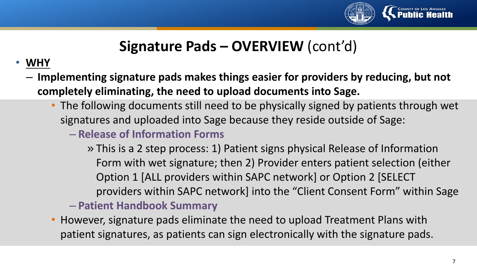

# **Signature Pads – OVERVIEW** (cont'd)

#### • **WHY**

- **Implementing signature pads makes things easier for providers by reducing, but not completely eliminating, the need to upload documents into Sage.**
	- The following documents still need to be physically signed by patients through wet signatures and uploaded into Sage because they reside outside of Sage:
		- **Release of Information Forms**
			- » This is a 2 step process: 1) Patient signs physical Release of Information Form with wet signature; then 2) Provider enters patient selection (either Option 1 [ALL providers within SAPC network] or Option 2 [SELECT providers within SAPC network] into the "Client Consent Form" within Sage
		- **Patient Handbook Summary**
	- However, signature pads eliminate the need to upload Treatment Plans with patient signatures, as patients can sign electronically with the signature pads.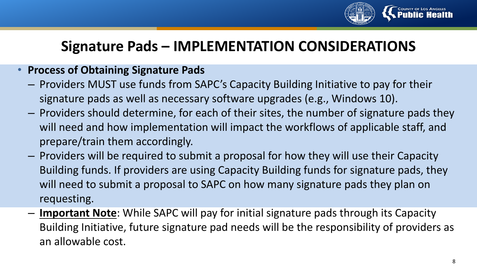

## **Signature Pads – IMPLEMENTATION CONSIDERATIONS**

#### • **Process of Obtaining Signature Pads**

- Providers MUST use funds from SAPC's Capacity Building Initiative to pay for their signature pads as well as necessary software upgrades (e.g., Windows 10).
- Providers should determine, for each of their sites, the number of signature pads they will need and how implementation will impact the workflows of applicable staff, and prepare/train them accordingly.
- Providers will be required to submit a proposal for how they will use their Capacity Building funds. If providers are using Capacity Building funds for signature pads, they will need to submit a proposal to SAPC on how many signature pads they plan on requesting.
- **Important Note**: While SAPC will pay for initial signature pads through its Capacity Building Initiative, future signature pad needs will be the responsibility of providers as an allowable cost.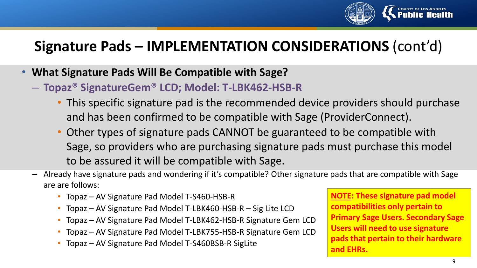

# **Signature Pads – IMPLEMENTATION CONSIDERATIONS** (cont'd)

- **What Signature Pads Will Be Compatible with Sage?**
	- **Topaz® SignatureGem® LCD; Model: T-LBK462-HSB-R** 
		- This specific signature pad is the recommended device providers should purchase and has been confirmed to be compatible with Sage (ProviderConnect).
		- Other types of signature pads CANNOT be guaranteed to be compatible with Sage, so providers who are purchasing signature pads must purchase this model to be assured it will be compatible with Sage.
	- Already have signature pads and wondering if it's compatible? Other signature pads that are compatible with Sage are are follows:
		- Topaz AV Signature Pad Model T-S460-HSB-R
		- Topaz AV Signature Pad Model T-LBK460-HSB-R Sig Lite LCD
		- Topaz AV Signature Pad Model T-LBK462-HSB-R Signature Gem LCD
		- Topaz AV Signature Pad Model T-LBK755-HSB-R Signature Gem LCD
		- Topaz AV Signature Pad Model T-S460BSB-R SigLite

9 **NOTE: These signature pad model compatibilities only pertain to Primary Sage Users. Secondary Sage Users will need to use signature pads that pertain to their hardware and EHRs.**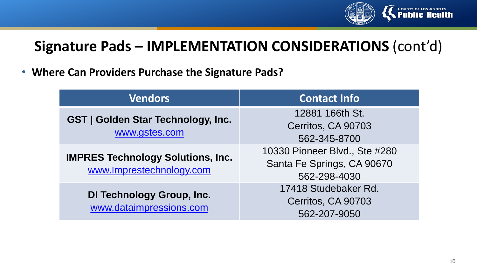

# **Signature Pads – IMPLEMENTATION CONSIDERATIONS** (cont'd)

• **Where Can Providers Purchase the Signature Pads?**

| <b>Vendors</b>                                                       | <b>Contact Info</b>                                                         |
|----------------------------------------------------------------------|-----------------------------------------------------------------------------|
| <b>GST   Golden Star Technology, Inc.</b><br>www.gstes.com           | 12881 166th St.<br>Cerritos, CA 90703<br>562-345-8700                       |
| <b>IMPRES Technology Solutions, Inc.</b><br>www.Imprestechnology.com | 10330 Pioneer Blvd., Ste #280<br>Santa Fe Springs, CA 90670<br>562-298-4030 |
| <b>DI Technology Group, Inc.</b><br>www.dataimpressions.com          | 17418 Studebaker Rd.<br>Cerritos, CA 90703<br>562-207-9050                  |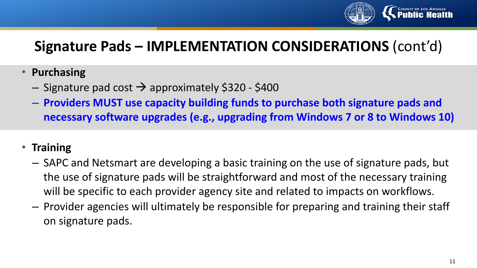

# **Signature Pads – IMPLEMENTATION CONSIDERATIONS** (cont'd)

- **Purchasing**
	- $-$  Signature pad cost  $\rightarrow$  approximately \$320 \$400
	- **Providers MUST use capacity building funds to purchase both signature pads and necessary software upgrades (e.g., upgrading from Windows 7 or 8 to Windows 10)**
- **Training**
	- SAPC and Netsmart are developing a basic training on the use of signature pads, but the use of signature pads will be straightforward and most of the necessary training will be specific to each provider agency site and related to impacts on workflows.
	- Provider agencies will ultimately be responsible for preparing and training their staff on signature pads.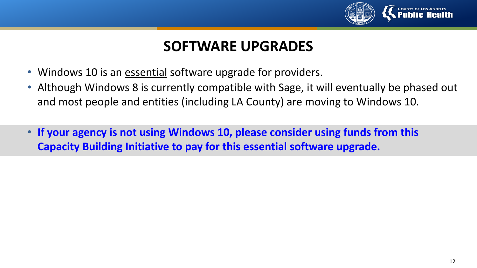

#### **SOFTWARE UPGRADES**

- Windows 10 is an essential software upgrade for providers.
- Although Windows 8 is currently compatible with Sage, it will eventually be phased out and most people and entities (including LA County) are moving to Windows 10.
- **If your agency is not using Windows 10, please consider using funds from this Capacity Building Initiative to pay for this essential software upgrade.**